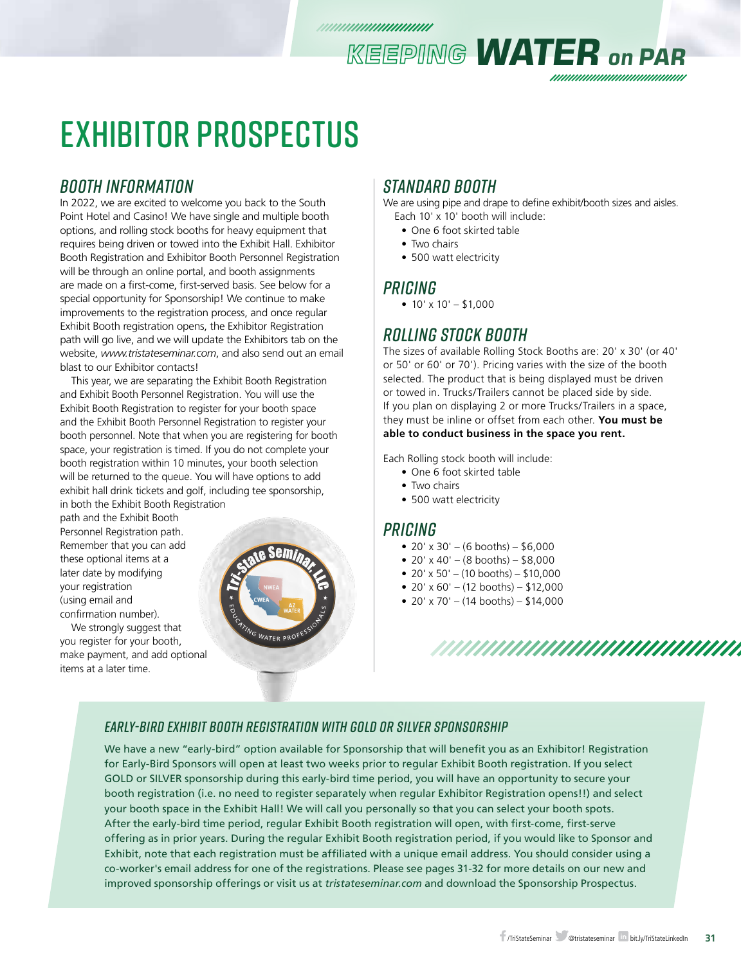# EXHIBITOR PROSPECTUS

### *BOOTH INFORMATION*

In 2022, we are excited to welcome you back to the South Point Hotel and Casino! We have single and multiple booth options, and rolling stock booths for heavy equipment that requires being driven or towed into the Exhibit Hall. Exhibitor Booth Registration and Exhibitor Booth Personnel Registration will be through an online portal, and booth assignments are made on a first-come, first-served basis. See below for a special opportunity for Sponsorship! We continue to make improvements to the registration process, and once regular Exhibit Booth registration opens, the Exhibitor Registration path will go live, and we will update the Exhibitors tab on the website, *www.tristateseminar.com*, and also send out an email blast to our Exhibitor contacts!

This year, we are separating the Exhibit Booth Registration and Exhibit Booth Personnel Registration. You will use the Exhibit Booth Registration to register for your booth space and the Exhibit Booth Personnel Registration to register your booth personnel. Note that when you are registering for booth space, your registration is timed. If you do not complete your booth registration within 10 minutes, your booth selection will be returned to the queue. You will have options to add exhibit hall drink tickets and golf, including tee sponsorship, in both the Exhibit Booth Registration

path and the Exhibit Booth Personnel Registration path. Remember that you can add these optional items at a later date by modifying your registration (using email and confirmation number).

We strongly suggest that you register for your booth, make payment, and add optional items at a later time.



### *Standard Booth*

We are using pipe and drape to define exhibit/booth sizes and aisles.

*KEEPING WATER on PAR*

- Each 10' x 10' booth will include:
	- One 6 foot skirted table
	- Two chairs
- 500 watt electricity

### *Pricing*

•  $10' \times 10' - $1,000$ 

## *Rolling Stock Booth*

The sizes of available Rolling Stock Booths are: 20' x 30' (or 40' or 50' or 60' or 70'). Pricing varies with the size of the booth selected. The product that is being displayed must be driven or towed in. Trucks/Trailers cannot be placed side by side. If you plan on displaying 2 or more Trucks/Trailers in a space, they must be inline or offset from each other. **You must be able to conduct business in the space you rent.** 

Each Rolling stock booth will include:

- One 6 foot skirted table
- Two chairs
- 500 watt electricity

### *Pricing*

- $20' \times 30' (6$  booths) \$6,000
- 20' x 40' (8 booths)  $$8,000$
- $20' \times 50' (10 \text{ booths}) $10,000$
- 20' x 60' (12 booths)  $$12,000$
- 20' x 70' (14 booths)  $$14,000$



### *EARLY-BIRD EXHIBIT BOOTH REGISTRATION WITH GOLD OR SILVER SPONSORSHIP*

We have a new "early-bird" option available for Sponsorship that will benefit you as an Exhibitor! Registration for Early-Bird Sponsors will open at least two weeks prior to regular Exhibit Booth registration. If you select GOLD or SILVER sponsorship during this early-bird time period, you will have an opportunity to secure your booth registration (i.e. no need to register separately when regular Exhibitor Registration opens!!) and select your booth space in the Exhibit Hall! We will call you personally so that you can select your booth spots. After the early-bird time period, regular Exhibit Booth registration will open, with first-come, first-serve offering as in prior years. During the regular Exhibit Booth registration period, if you would like to Sponsor and Exhibit, note that each registration must be affiliated with a unique email address. You should consider using a co-worker's email address for one of the registrations. Please see pages 31-32 for more details on our new and improved sponsorship offerings or visit us at *tristateseminar.com* and download the Sponsorship Prospectus.